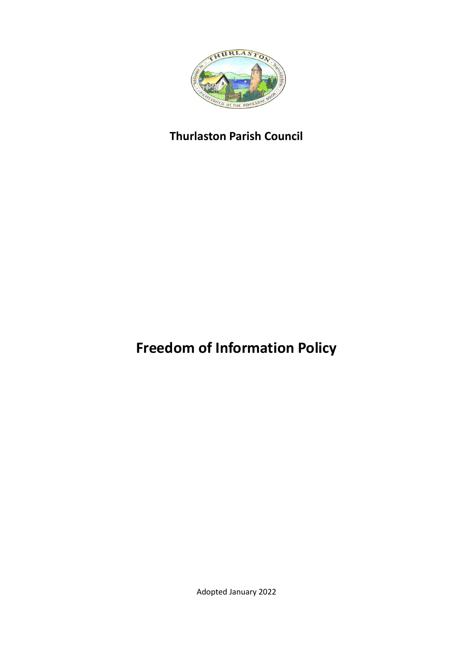

# **Thurlaston Parish Council**

# **Freedom of Information Policy**

Adopted January 2022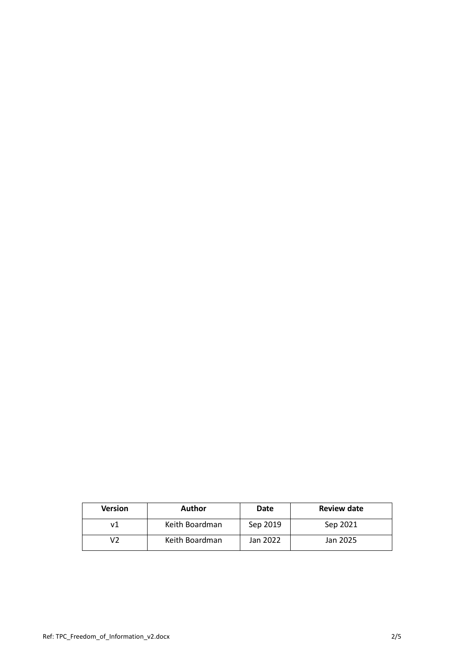| <b>Version</b> | Author         | Date     | <b>Review date</b> |
|----------------|----------------|----------|--------------------|
| v1             | Keith Boardman | Sep 2019 | Sep 2021           |
| V2             | Keith Boardman | Jan 2022 | Jan 2025           |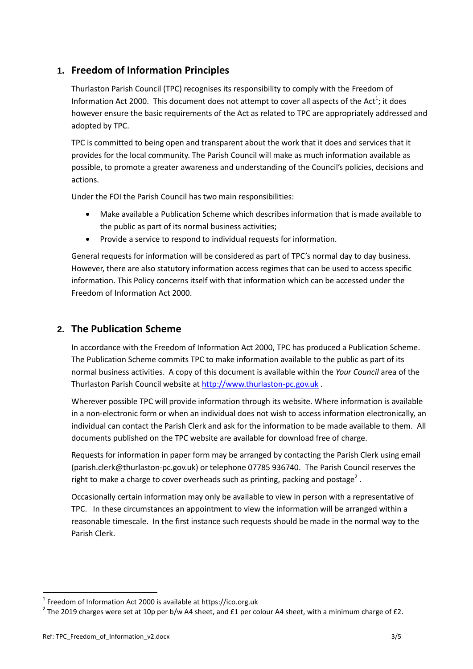## **1. Freedom of Information Principles**

Thurlaston Parish Council (TPC) recognises its responsibility to comply with the Freedom of Information Act 2000. This document does not attempt to cover all aspects of the Act<sup>1</sup>; it does however ensure the basic requirements of the Act as related to TPC are appropriately addressed and adopted by TPC.

TPC is committed to being open and transparent about the work that it does and services that it provides for the local community. The Parish Council will make as much information available as possible, to promote a greater awareness and understanding of the Council's policies, decisions and actions.

Under the FOI the Parish Council has two main responsibilities:

- Make available a Publication Scheme which describes information that is made available to the public as part of its normal business activities;
- Provide a service to respond to individual requests for information.

General requests for information will be considered as part of TPC's normal day to day business. However, there are also statutory information access regimes that can be used to access specific information. This Policy concerns itself with that information which can be accessed under the Freedom of Information Act 2000.

#### **2. The Publication Scheme**

In accordance with the Freedom of Information Act 2000, TPC has produced a Publication Scheme. The Publication Scheme commits TPC to make information available to the public as part of its normal business activities. A copy of this document is available within the *Your Council* area of the Thurlaston Parish Council website at [http://www.thurlaston](http://www.thurlaston-pc.gov.uk/)-pc.gov.uk .

Wherever possible TPC will provide information through its website. Where information is available in a non-electronic form or when an individual does not wish to access information electronically, an individual can contact the Parish Clerk and ask for the information to be made available to them. All documents published on the TPC website are available for download free of charge.

Requests for information in paper form may be arranged by contacting the Parish Clerk using email (parish.clerk@thurlaston-pc.gov.uk) or telephone 07785 936740. The Parish Council reserves the right to make a charge to cover overheads such as printing, packing and postage<sup>2</sup>.

Occasionally certain information may only be available to view in person with a representative of TPC. In these circumstances an appointment to view the information will be arranged within a reasonable timescale. In the first instance such requests should be made in the normal way to the Parish Clerk.

 $\overline{a}$ 

 $1$  Freedom of Information Act 2000 is available at https://ico.org.uk

<sup>&</sup>lt;sup>2</sup> The 2019 charges were set at 10p per b/w A4 sheet, and £1 per colour A4 sheet, with a minimum charge of £2.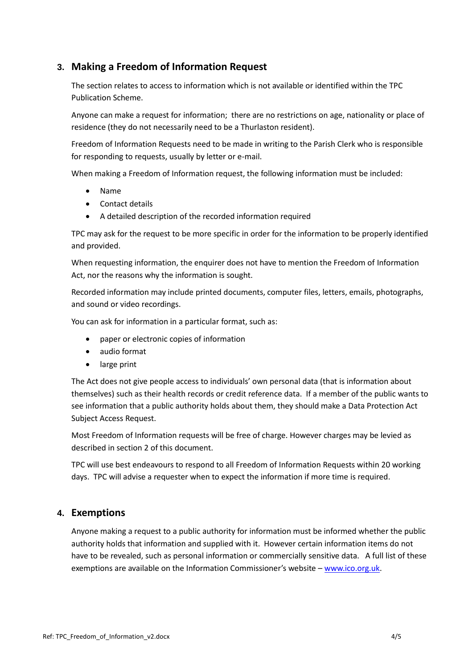## **3. Making a Freedom of Information Request**

The section relates to access to information which is not available or identified within the TPC Publication Scheme.

Anyone can make a request for information; there are no restrictions on age, nationality or place of residence (they do not necessarily need to be a Thurlaston resident).

Freedom of Information Requests need to be made in writing to the Parish Clerk who is responsible for responding to requests, usually by letter or e-mail.

When making a Freedom of Information request, the following information must be included:

- Name
- Contact details
- A detailed description of the recorded information required

TPC may ask for the request to be more specific in order for the information to be properly identified and provided.

When requesting information, the enquirer does not have to mention the Freedom of Information Act, nor the reasons why the information is sought.

Recorded information may include printed documents, computer files, letters, emails, photographs, and sound or video recordings.

You can ask for information in a particular format, such as:

- paper or electronic copies of information
- audio format
- large print

The Act does not give people access to individuals' own personal data (that is information about themselves) such as their health records or credit reference data. If a member of the public wants to see information that a public authority holds about them, they should make a Data Protection Act Subject Access Request.

Most Freedom of Information requests will be free of charge. However charges may be levied as described in section 2 of this document.

TPC will use best endeavours to respond to all Freedom of Information Requests within 20 working days. TPC will advise a requester when to expect the information if more time is required.

#### **4. Exemptions**

Anyone making a request to a public authority for information must be informed whether the public authority holds that information and supplied with it. However certain information items do not have to be revealed, such as personal information or commercially sensitive data. A full list of these exemptions are available on the Information Commissioner's website – [www.ico.org.uk.](http://www.ico.org.uk/)